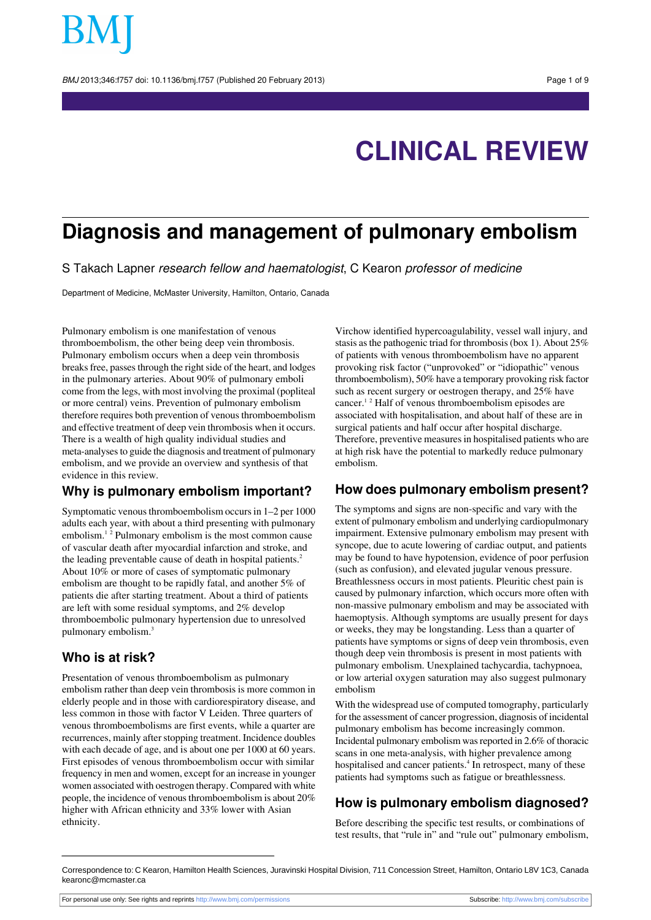BMJ 2013;346:f757 doi: 10.1136/bmj.f757 (Published 20 February 2013) Page 1 of 9

# **CLINICAL REVIEW**

# **Diagnosis and management of pulmonary embolism**

S Takach Lapner research fellow and haematologist, C Kearon professor of medicine

Department of Medicine, McMaster University, Hamilton, Ontario, Canada

Pulmonary embolism is one manifestation of venous thromboembolism, the other being deep vein thrombosis. Pulmonary embolism occurs when a deep vein thrombosis breaks free, passes through the right side of the heart, and lodges in the pulmonary arteries. About 90% of pulmonary emboli come from the legs, with most involving the proximal (popliteal or more central) veins. Prevention of pulmonary embolism therefore requires both prevention of venous thromboembolism and effective treatment of deep vein thrombosis when it occurs. There is a wealth of high quality individual studies and meta-analyses to guide the diagnosis and treatment of pulmonary embolism, and we provide an overview and synthesis of that evidence in this review.

# **Why is pulmonary embolism important?**

Symptomatic venous thromboembolism occurs in 1–2 per 1000 adults each year, with about a third presenting with pulmonary embolism. $1<sup>2</sup>$  Pulmonary embolism is the most common cause of vascular death after myocardial infarction and stroke, and the leading preventable cause of death in hospital patients.<sup>2</sup> About 10% or more of cases of symptomatic pulmonary embolism are thought to be rapidly fatal, and another 5% of patients die after starting treatment. About a third of patients are left with some residual symptoms, and 2% develop thromboembolic pulmonary hypertension due to unresolved pulmonary embolism.<sup>3</sup>

# **Who is at risk?**

Presentation of venous thromboembolism as pulmonary embolism rather than deep vein thrombosis is more common in elderly people and in those with cardiorespiratory disease, and less common in those with factor V Leiden. Three quarters of venous thromboembolisms are first events, while a quarter are recurrences, mainly after stopping treatment. Incidence doubles with each decade of age, and is about one per 1000 at 60 years. First episodes of venous thromboembolism occur with similar frequency in men and women, except for an increase in younger women associated with oestrogen therapy. Compared with white people, the incidence of venousthromboembolism is about 20% higher with African ethnicity and 33% lower with Asian ethnicity.

Virchow identified hypercoagulability, vessel wall injury, and stasis asthe pathogenic triad for thrombosis(box 1). About 25% of patients with venous thromboembolism have no apparent provoking risk factor ("unprovoked" or "idiopathic" venous thromboembolism), 50% have a temporary provoking risk factor such as recent surgery or oestrogen therapy, and 25% have cancer.<sup>12</sup> Half of venous thromboembolism episodes are associated with hospitalisation, and about half of these are in surgical patients and half occur after hospital discharge. Therefore, preventive measures in hospitalised patients who are at high risk have the potential to markedly reduce pulmonary embolism.

# **How does pulmonary embolism present?**

The symptoms and signs are non-specific and vary with the extent of pulmonary embolism and underlying cardiopulmonary impairment. Extensive pulmonary embolism may present with syncope, due to acute lowering of cardiac output, and patients may be found to have hypotension, evidence of poor perfusion (such as confusion), and elevated jugular venous pressure. Breathlessness occurs in most patients. Pleuritic chest pain is caused by pulmonary infarction, which occurs more often with non-massive pulmonary embolism and may be associated with haemoptysis. Although symptoms are usually present for days or weeks, they may be longstanding. Less than a quarter of patients have symptoms or signs of deep vein thrombosis, even though deep vein thrombosis is present in most patients with pulmonary embolism. Unexplained tachycardia, tachypnoea, or low arterial oxygen saturation may also suggest pulmonary embolism

With the widespread use of computed tomography, particularly for the assessment of cancer progression, diagnosis of incidental pulmonary embolism has become increasingly common. Incidental pulmonary embolism was reported in 2.6% of thoracic scans in one meta-analysis, with higher prevalence among hospitalised and cancer patients.<sup>4</sup> In retrospect, many of these patients had symptoms such as fatigue or breathlessness.

# **How is pulmonary embolism diagnosed?**

Before describing the specific test results, or combinations of test results, that "rule in" and "rule out" pulmonary embolism,

Correspondence to: C Kearon, Hamilton Health Sciences, Juravinski Hospital Division, 711 Concession Street, Hamilton, Ontario L8V 1C3, Canada kearonc@mcmaster.ca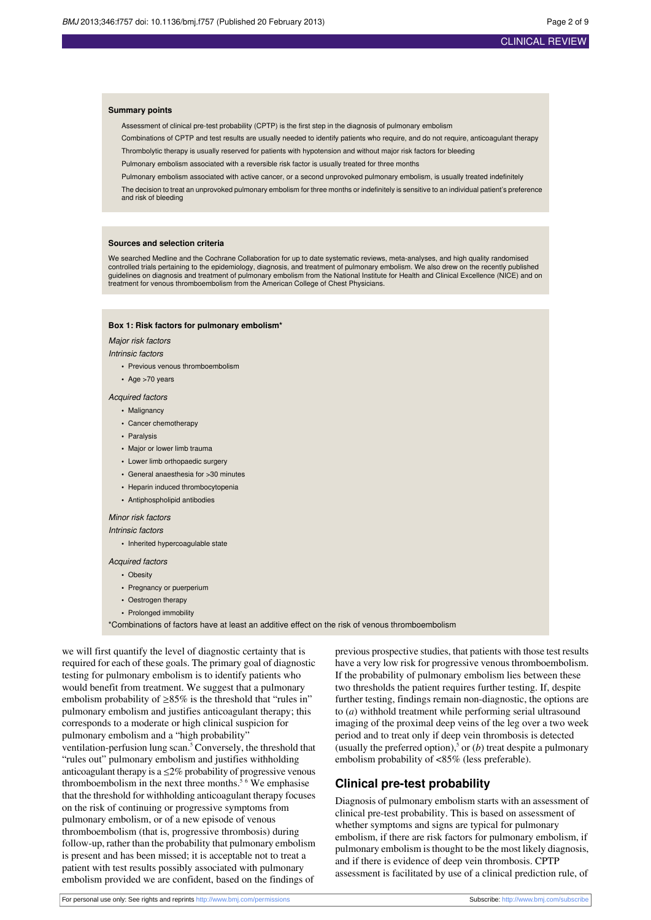### **Summary points**

Assessment of clinical pre-test probability (CPTP) is the first step in the diagnosis of pulmonary embolism

- Combinations of CPTP and test results are usually needed to identify patients who require, and do not require, anticoagulant therapy Thrombolytic therapy is usually reserved for patients with hypotension and without major risk factors for bleeding
- Pulmonary embolism associated with a reversible risk factor is usually treated for three months
- Pulmonary embolism associated with active cancer, or a second unprovoked pulmonary embolism, is usually treated indefinitely

The decision to treat an unprovoked pulmonary embolism for three months or indefinitely is sensitive to an individual patient's preference and risk of bleeding

### **Sources and selection criteria**

We searched Medline and the Cochrane Collaboration for up to date systematic reviews, meta-analyses, and high quality randomised controlled trials pertaining to the epidemiology, diagnosis, and treatment of pulmonary embolism. We also drew on the recently published guidelines on diagnosis and treatment of pulmonary embolism from the National Institute for Health and Clinical Excellence (NICE) and on treatment for venous thromboembolism from the American College of Chest Physicians.

### **Box 1: Risk factors for pulmonary embolism\***

### Major risk factors

Intrinsic factors

**•** Previous venous thromboembolism

# **•** Age >70 years

### Acquired factors

- **•** Malignancy
- **•** Cancer chemotherapy
- **•** Paralysis
- **•** Major or lower limb trauma
- **•** Lower limb orthopaedic surgery
- **•** General anaesthesia for >30 minutes
- **•** Heparin induced thrombocytopenia
- **•** Antiphospholipid antibodies

# Minor risk factors

- Intrinsic factors
	- **•** Inherited hypercoagulable state

### Acquired factors

- **•** Obesity
- **•** Pregnancy or puerperium
- **•** Oestrogen therapy
- **•** Prolonged immobility

\*Combinations of factors have at least an additive effect on the risk of venous thromboembolism

we will first quantify the level of diagnostic certainty that is required for each of these goals. The primary goal of diagnostic testing for pulmonary embolism is to identify patients who would benefit from treatment. We suggest that a pulmonary embolism probability of  $\geq$ 85% is the threshold that "rules in" pulmonary embolism and justifies anticoagulant therapy; this corresponds to a moderate or high clinical suspicion for pulmonary embolism and a "high probability" ventilation-perfusion lung scan.<sup>5</sup> Conversely, the threshold that "rules out" pulmonary embolism and justifies withholding anticoagulant therapy is a  $\leq$ 2% probability of progressive venous thromboembolism in the next three months.<sup>5 6</sup> We emphasise that the threshold for withholding anticoagulant therapy focuses on the risk of continuing or progressive symptoms from pulmonary embolism, or of a new episode of venous thromboembolism (that is, progressive thrombosis) during follow-up, rather than the probability that pulmonary embolism is present and has been missed; it is acceptable not to treat a patient with test results possibly associated with pulmonary embolism provided we are confident, based on the findings of

previous prospective studies, that patients with those test results have a very low risk for progressive venous thromboembolism. If the probability of pulmonary embolism lies between these two thresholds the patient requires further testing. If, despite further testing, findings remain non-diagnostic, the options are to (*a*) withhold treatment while performing serial ultrasound imaging of the proximal deep veins of the leg over a two week period and to treat only if deep vein thrombosis is detected (usually the preferred option),<sup>5</sup> or  $(b)$  treat despite a pulmonary embolism probability of <85% (less preferable).

# **Clinical pre-test probability**

Diagnosis of pulmonary embolism starts with an assessment of clinical pre-test probability. This is based on assessment of whether symptoms and signs are typical for pulmonary embolism, if there are risk factors for pulmonary embolism, if pulmonary embolism isthought to be the most likely diagnosis, and if there is evidence of deep vein thrombosis. CPTP assessment is facilitated by use of a clinical prediction rule, of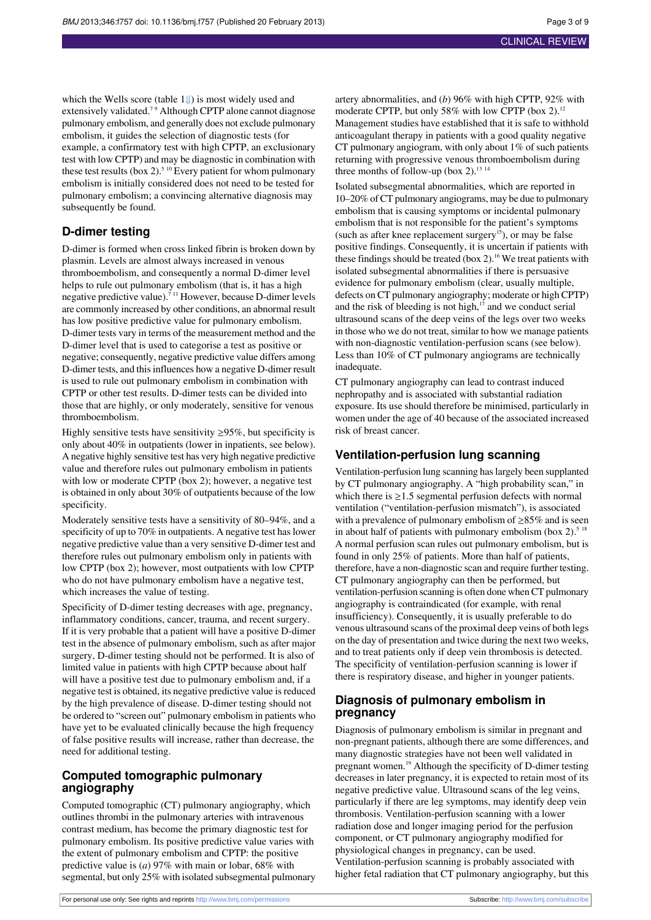which the Wells score (table  $1 \downarrow$ ) is most widely used and extensively validated.<sup>79</sup> Although CPTP alone cannot diagnose pulmonary embolism, and generally does not exclude pulmonary embolism, it guides the selection of diagnostic tests (for example, a confirmatory test with high CPTP, an exclusionary test with low CPTP) and may be diagnostic in combination with these test results (box 2).<sup>5 10</sup> Every patient for whom pulmonary embolism is initially considered does not need to be tested for pulmonary embolism; a convincing alternative diagnosis may subsequently be found.

# **D-dimer testing**

D-dimer is formed when cross linked fibrin is broken down by plasmin. Levels are almost always increased in venous thromboembolism, and consequently a normal D-dimer level helps to rule out pulmonary embolism (that is, it has a high negative predictive value).<sup>7</sup> <sup>11</sup> However, because D-dimer levels are commonly increased by other conditions, an abnormal result has low positive predictive value for pulmonary embolism. D-dimer tests vary in terms of the measurement method and the D-dimer level that is used to categorise a test as positive or negative; consequently, negative predictive value differs among D-dimer tests, and this influences how a negative D-dimer result is used to rule out pulmonary embolism in combination with CPTP or other test results. D-dimer tests can be divided into those that are highly, or only moderately, sensitive for venous thromboembolism.

Highly sensitive tests have sensitivity  $\geq$ 95%, but specificity is only about 40% in outpatients (lower in inpatients, see below). A negative highly sensitive test has very high negative predictive value and therefore rules out pulmonary embolism in patients with low or moderate CPTP (box 2); however, a negative test is obtained in only about 30% of outpatients because of the low specificity.

Moderately sensitive tests have a sensitivity of 80–94%, and a specificity of up to 70% in outpatients. A negative test has lower negative predictive value than a very sensitive D-dimer test and therefore rules out pulmonary embolism only in patients with low CPTP (box 2); however, most outpatients with low CPTP who do not have pulmonary embolism have a negative test, which increases the value of testing.

Specificity of D-dimer testing decreases with age, pregnancy, inflammatory conditions, cancer, trauma, and recent surgery. If it is very probable that a patient will have a positive D-dimer test in the absence of pulmonary embolism, such as after major surgery, D-dimer testing should not be performed. It is also of limited value in patients with high CPTP because about half will have a positive test due to pulmonary embolism and, if a negative test is obtained, its negative predictive value is reduced by the high prevalence of disease. D-dimer testing should not be ordered to "screen out" pulmonary embolism in patients who have yet to be evaluated clinically because the high frequency of false positive results will increase, rather than decrease, the need for additional testing.

# **Computed tomographic pulmonary angiography**

Computed tomographic (CT) pulmonary angiography, which outlines thrombi in the pulmonary arteries with intravenous contrast medium, has become the primary diagnostic test for pulmonary embolism. Its positive predictive value varies with the extent of pulmonary embolism and CPTP: the positive predictive value is (*a*) 97% with main or lobar, 68% with segmental, but only 25% with isolated subsegmental pulmonary artery abnormalities, and (*b*) 96% with high CPTP, 92% with moderate CPTP, but only 58% with low CPTP (box 2).<sup>12</sup> Management studies have established that it is safe to withhold anticoagulant therapy in patients with a good quality negative CT pulmonary angiogram, with only about 1% of such patients returning with progressive venous thromboembolism during three months of follow-up (box 2). $^{13}$  14

Isolated subsegmental abnormalities, which are reported in 10–20% of CT pulmonary angiograms, may be due to pulmonary embolism that is causing symptoms or incidental pulmonary embolism that is not responsible for the patient's symptoms (such as after knee replacement surgery<sup>15</sup>), or may be false positive findings. Consequently, it is uncertain if patients with these findings should be treated (box 2).<sup>16</sup> We treat patients with isolated subsegmental abnormalities if there is persuasive evidence for pulmonary embolism (clear, usually multiple, defects on CT pulmonary angiography; moderate or high CPTP) and the risk of bleeding is not high,<sup>17</sup> and we conduct serial ultrasound scans of the deep veins of the legs over two weeks in those who we do not treat, similar to how we manage patients with non-diagnostic ventilation-perfusion scans (see below). Less than 10% of CT pulmonary angiograms are technically inadequate.

CT pulmonary angiography can lead to contrast induced nephropathy and is associated with substantial radiation exposure. Its use should therefore be minimised, particularly in women under the age of 40 because of the associated increased risk of breast cancer.

# **Ventilation-perfusion lung scanning**

Ventilation-perfusion lung scanning haslargely been supplanted by CT pulmonary angiography. A "high probability scan," in which there is  $\geq$ 1.5 segmental perfusion defects with normal ventilation ("ventilation-perfusion mismatch"), is associated with a prevalence of pulmonary embolism of  $\geq 85\%$  and is seen in about half of patients with pulmonary embolism (box  $2$ ).<sup>5 18</sup> A normal perfusion scan rules out pulmonary embolism, but is found in only 25% of patients. More than half of patients, therefore, have a non-diagnostic scan and require further testing. CT pulmonary angiography can then be performed, but ventilation-perfusion scanning is often done when CT pulmonary angiography is contraindicated (for example, with renal insufficiency). Consequently, it is usually preferable to do venous ultrasound scans of the proximal deep veins of both legs on the day of presentation and twice during the next two weeks, and to treat patients only if deep vein thrombosis is detected. The specificity of ventilation-perfusion scanning is lower if there is respiratory disease, and higher in younger patients.

# **Diagnosis of pulmonary embolism in pregnancy**

Diagnosis of pulmonary embolism is similar in pregnant and non-pregnant patients, although there are some differences, and many diagnostic strategies have not been well validated in pregnant women.<sup>19</sup> Although the specificity of D-dimer testing decreases in later pregnancy, it is expected to retain most of its negative predictive value. Ultrasound scans of the leg veins, particularly if there are leg symptoms, may identify deep vein thrombosis. Ventilation-perfusion scanning with a lower radiation dose and longer imaging period for the perfusion component, or CT pulmonary angiography modified for physiological changes in pregnancy, can be used. Ventilation-perfusion scanning is probably associated with higher fetal radiation that CT pulmonary angiography, but this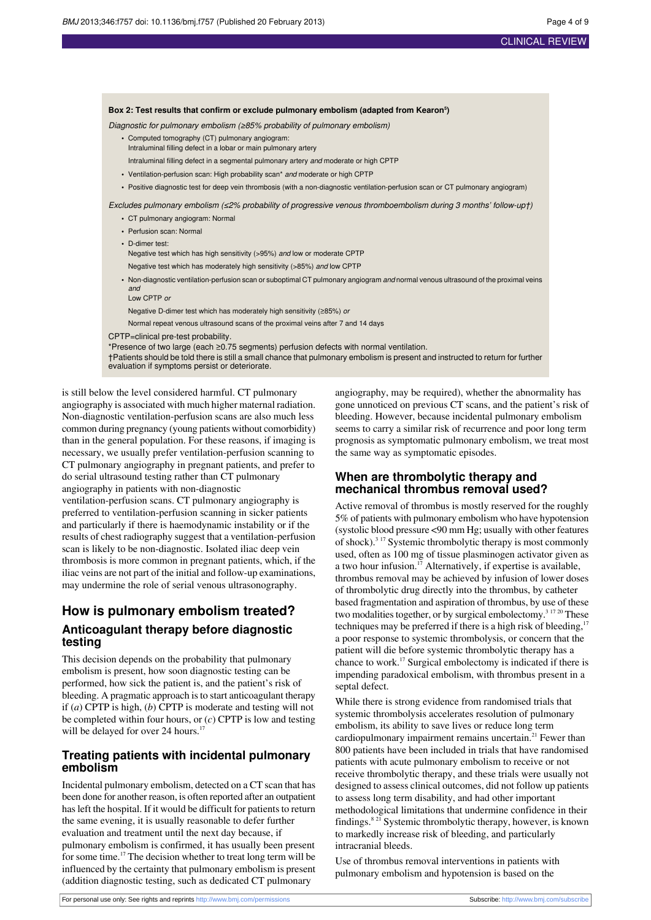### **Box 2: Test results that confirm or exclude pulmonary embolism (adapted from Kearon<sup>5</sup> )**

Diagnostic for pulmonary embolism (≥85% probability of pulmonary embolism)

**•** Computed tomography (CT) pulmonary angiogram: Intraluminal filling defect in a lobar or main pulmonary artery

Intraluminal filling defect in a segmental pulmonary artery and moderate or high CPTP

- **•** Ventilation-perfusion scan: High probability scan\* and moderate or high CPTP
- **•** Positive diagnostic test for deep vein thrombosis (with a non-diagnostic ventilation-perfusion scan or CT pulmonary angiogram)

Excludes pulmonary embolism (≤2% probability of progressive venous thromboembolism during 3 months' follow-up†)

- **•** CT pulmonary angiogram: Normal
- **•** Perfusion scan: Normal
- **•** D-dimer test:

Negative test which has high sensitivity (>95%) and low or moderate CPTP Negative test which has moderately high sensitivity (>85%) and low CPTP

**•** Non-diagnostic ventilation-perfusion scan or suboptimal CT pulmonary angiogram and normal venous ultrasound of the proximal veins and Low CPTP or

Negative D-dimer test which has moderately high sensitivity (≥85%) or

Normal repeat venous ultrasound scans of the proximal veins after 7 and 14 days

CPTP=clinical pre-test probability.

\*Presence of two large (each ≥0.75 segments) perfusion defects with normal ventilation.

†Patients should be told there is still a small chance that pulmonary embolism is present and instructed to return for further evaluation if symptoms persist or deteriorate.

is still below the level considered harmful. CT pulmonary angiography is associated with much higher maternal radiation. Non-diagnostic ventilation-perfusion scans are also much less common during pregnancy (young patients without comorbidity) than in the general population. For these reasons, if imaging is necessary, we usually prefer ventilation-perfusion scanning to CT pulmonary angiography in pregnant patients, and prefer to do serial ultrasound testing rather than CT pulmonary angiography in patients with non-diagnostic ventilation-perfusion scans. CT pulmonary angiography is preferred to ventilation-perfusion scanning in sicker patients and particularly if there is haemodynamic instability or if the results of chest radiography suggest that a ventilation-perfusion scan is likely to be non-diagnostic. Isolated iliac deep vein thrombosis is more common in pregnant patients, which, if the iliac veins are not part of the initial and follow-up examinations, may undermine the role of serial venous ultrasonography.

# **How is pulmonary embolism treated?**

# **Anticoagulant therapy before diagnostic testing**

This decision depends on the probability that pulmonary embolism is present, how soon diagnostic testing can be performed, how sick the patient is, and the patient's risk of bleeding. A pragmatic approach is to start anticoagulant therapy if (*a*) CPTP is high, (*b*) CPTP is moderate and testing will not be completed within four hours, or (*c*) CPTP is low and testing will be delayed for over 24 hours.<sup>17</sup>

# **Treating patients with incidental pulmonary embolism**

Incidental pulmonary embolism, detected on a CT scan that has been done for another reason, is often reported after an outpatient has left the hospital. If it would be difficult for patients to return the same evening, it is usually reasonable to defer further evaluation and treatment until the next day because, if pulmonary embolism is confirmed, it has usually been present for some time.<sup>17</sup> The decision whether to treat long term will be influenced by the certainty that pulmonary embolism is present (addition diagnostic testing, such as dedicated CT pulmonary

angiography, may be required), whether the abnormality has gone unnoticed on previous CT scans, and the patient's risk of bleeding. However, because incidental pulmonary embolism seems to carry a similar risk of recurrence and poor long term prognosis as symptomatic pulmonary embolism, we treat most the same way as symptomatic episodes.

# **When are thrombolytic therapy and mechanical thrombus removal used?**

Active removal of thrombus is mostly reserved for the roughly 5% of patients with pulmonary embolism who have hypotension (systolic blood pressure <90 mm Hg; usually with other features of shock).<sup>3</sup> <sup>17</sup> Systemic thrombolytic therapy is most commonly used, often as 100 mg of tissue plasminogen activator given as a two hour infusion.<sup>17</sup> Alternatively, if expertise is available, thrombus removal may be achieved by infusion of lower doses of thrombolytic drug directly into the thrombus, by catheter based fragmentation and aspiration of thrombus, by use of these two modalities together, or by surgical embolectomy.<sup>3 17 20</sup> These techniques may be preferred if there is a high risk of bleeding,<sup>17</sup> a poor response to systemic thrombolysis, or concern that the patient will die before systemic thrombolytic therapy has a chance to work.<sup>17</sup> Surgical embolectomy is indicated if there is impending paradoxical embolism, with thrombus present in a septal defect.

While there is strong evidence from randomised trials that systemic thrombolysis accelerates resolution of pulmonary embolism, its ability to save lives or reduce long term cardiopulmonary impairment remains uncertain. $^{21}$  Fewer than 800 patients have been included in trials that have randomised patients with acute pulmonary embolism to receive or not receive thrombolytic therapy, and these trials were usually not designed to assess clinical outcomes, did not follow up patients to assess long term disability, and had other important methodological limitations that undermine confidence in their findings.<sup>8</sup> <sup>21</sup> Systemic thrombolytic therapy, however, is known to markedly increase risk of bleeding, and particularly intracranial bleeds.

Use of thrombus removal interventions in patients with pulmonary embolism and hypotension is based on the

For personal use only: See rights and reprints<http://www.bmj.com/permissions> Subscribe: <http://www.bmj.com/subscribe>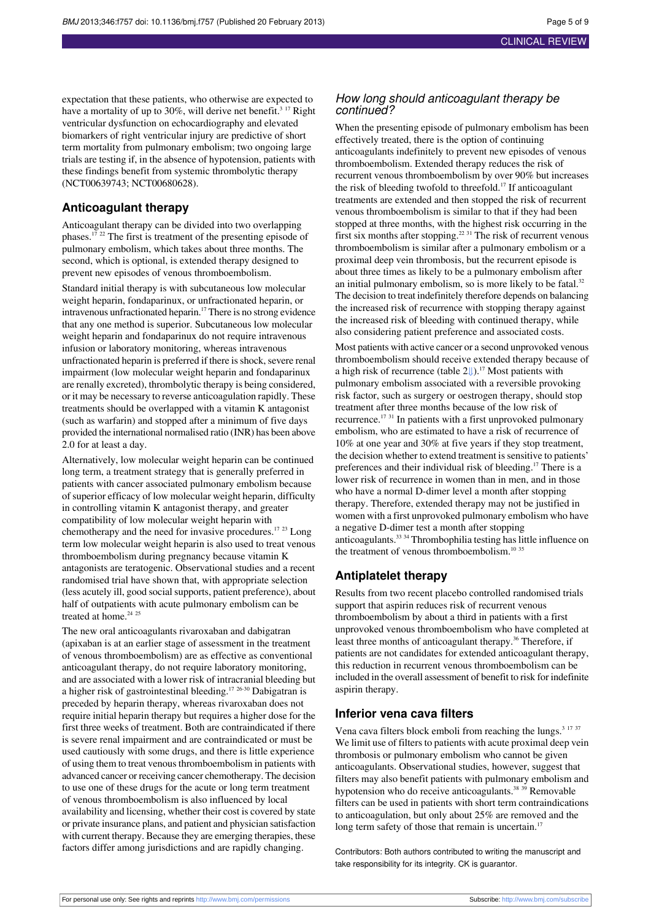expectation that these patients, who otherwise are expected to have a mortality of up to 30%, will derive net benefit.<sup>3 17</sup> Right ventricular dysfunction on echocardiography and elevated biomarkers of right ventricular injury are predictive of short term mortality from pulmonary embolism; two ongoing large trials are testing if, in the absence of hypotension, patients with these findings benefit from systemic thrombolytic therapy (NCT00639743; NCT00680628).

# **Anticoagulant therapy**

Anticoagulant therapy can be divided into two overlapping phases.<sup>17 22</sup> The first is treatment of the presenting episode of pulmonary embolism, which takes about three months. The second, which is optional, is extended therapy designed to prevent new episodes of venous thromboembolism.

Standard initial therapy is with subcutaneous low molecular weight heparin, fondaparinux, or unfractionated heparin, or intravenous unfractionated heparin.<sup>17</sup> There is no strong evidence that any one method is superior. Subcutaneous low molecular weight heparin and fondaparinux do not require intravenous infusion or laboratory monitoring, whereas intravenous unfractionated heparin is preferred if there is shock, severe renal impairment (low molecular weight heparin and fondaparinux are renally excreted), thrombolytic therapy is being considered, or it may be necessary to reverse anticoagulation rapidly. These treatments should be overlapped with a vitamin K antagonist (such as warfarin) and stopped after a minimum of five days provided the international normalised ratio (INR) has been above 2.0 for at least a day.

Alternatively, low molecular weight heparin can be continued long term, a treatment strategy that is generally preferred in patients with cancer associated pulmonary embolism because of superior efficacy of low molecular weight heparin, difficulty in controlling vitamin K antagonist therapy, and greater compatibility of low molecular weight heparin with chemotherapy and the need for invasive procedures.<sup>17</sup> <sup>23</sup> Long term low molecular weight heparin is also used to treat venous thromboembolism during pregnancy because vitamin K antagonists are teratogenic. Observational studies and a recent randomised trial have shown that, with appropriate selection (less acutely ill, good social supports, patient preference), about half of outpatients with acute pulmonary embolism can be treated at home.<sup>24 25</sup>

The new oral anticoagulants rivaroxaban and dabigatran (apixaban is at an earlier stage of assessment in the treatment of venous thromboembolism) are as effective as conventional anticoagulant therapy, do not require laboratory monitoring, and are associated with a lower risk of intracranial bleeding but a higher risk of gastrointestinal bleeding.<sup>17</sup> 26-30 Dabigatran is preceded by heparin therapy, whereas rivaroxaban does not require initial heparin therapy but requires a higher dose for the first three weeks of treatment. Both are contraindicated if there is severe renal impairment and are contraindicated or must be used cautiously with some drugs, and there is little experience of using them to treat venousthromboembolism in patients with advanced cancer or receiving cancer chemotherapy. The decision to use one of these drugs for the acute or long term treatment of venous thromboembolism is also influenced by local availability and licensing, whether their cost is covered by state or private insurance plans, and patient and physician satisfaction with current therapy. Because they are emerging therapies, these factors differ among jurisdictions and are rapidly changing.

# How long should anticoagulant therapy be continued?

When the presenting episode of pulmonary embolism has been effectively treated, there is the option of continuing anticoagulants indefinitely to prevent new episodes of venous thromboembolism. Extended therapy reduces the risk of recurrent venous thromboembolism by over 90% but increases the risk of bleeding twofold to threefold.<sup>17</sup> If anticoagulant treatments are extended and then stopped the risk of recurrent venous thromboembolism is similar to that if they had been stopped at three months, with the highest risk occurring in the first six months after stopping.<sup>22 31</sup> The risk of recurrent venous thromboembolism is similar after a pulmonary embolism or a proximal deep vein thrombosis, but the recurrent episode is about three times as likely to be a pulmonary embolism after an initial pulmonary embolism, so is more likely to be fatal. $32$ The decision to treat indefinitely therefore depends on balancing the increased risk of recurrence with stopping therapy against the increased risk of bleeding with continued therapy, while also considering patient preference and associated costs.

Most patients with active cancer or a second unprovoked venous thromboembolism should receive extended therapy because of a high risk of recurrence (table  $2 \downarrow$ ).<sup>17</sup> Most patients with pulmonary embolism associated with a reversible provoking risk factor, such as surgery or oestrogen therapy, should stop treatment after three months because of the low risk of recurrence.<sup>17</sup> <sup>31</sup> In patients with a first unprovoked pulmonary embolism, who are estimated to have a risk of recurrence of 10% at one year and 30% at five years if they stop treatment, the decision whether to extend treatment is sensitive to patients' preferences and their individual risk of bleeding.<sup>17</sup> There is a lower risk of recurrence in women than in men, and in those who have a normal D-dimer level a month after stopping therapy. Therefore, extended therapy may not be justified in women with a first unprovoked pulmonary embolism who have a negative D-dimer test a month after stopping anticoagulants.<sup>33</sup> <sup>34</sup> Thrombophilia testing has little influence on the treatment of venous thromboembolism.<sup>10 35</sup>

# **Antiplatelet therapy**

Results from two recent placebo controlled randomised trials support that aspirin reduces risk of recurrent venous thromboembolism by about a third in patients with a first unprovoked venous thromboembolism who have completed at least three months of anticoagulant therapy.<sup>36</sup> Therefore, if patients are not candidates for extended anticoagulant therapy, this reduction in recurrent venous thromboembolism can be included in the overall assessment of benefit to risk for indefinite aspirin therapy.

### **Inferior vena cava filters**

Vena cava filters block emboli from reaching the lungs. $3^{3}$  17 37 We limit use of filters to patients with acute proximal deep vein thrombosis or pulmonary embolism who cannot be given anticoagulants. Observational studies, however, suggest that filters may also benefit patients with pulmonary embolism and hypotension who do receive anticoagulants.<sup>38 39</sup> Removable filters can be used in patients with short term contraindications to anticoagulation, but only about 25% are removed and the long term safety of those that remain is uncertain.<sup>1</sup>

Contributors: Both authors contributed to writing the manuscript and take responsibility for its integrity. CK is guarantor.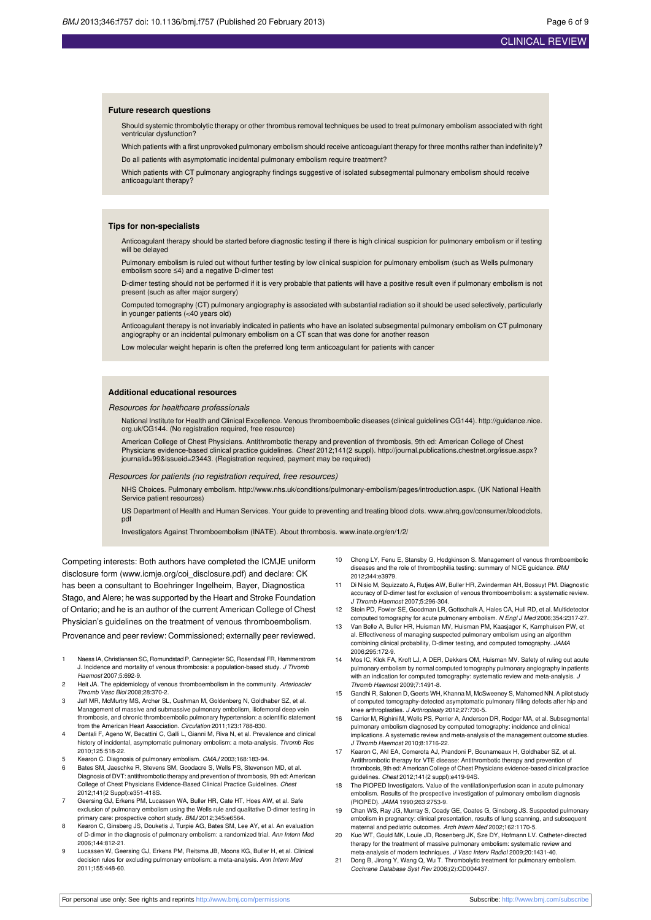### CLINICAL REVIEW

### **Future research questions**

Should systemic thrombolytic therapy or other thrombus removal techniques be used to treat pulmonary embolism associated with right ventricular dysfunction?

Which patients with a first unprovoked pulmonary embolism should receive anticoagulant therapy for three months rather than indefinitely? Do all patients with asymptomatic incidental pulmonary embolism require treatment?

Which patients with CT pulmonary angiography findings suggestive of isolated subsegmental pulmonary embolism should receive anticoagulant therapy?

### **Tips for non-specialists**

Anticoagulant therapy should be started before diagnostic testing if there is high clinical suspicion for pulmonary embolism or if testing will be delayed

Pulmonary embolism is ruled out without further testing by low clinical suspicion for pulmonary embolism (such as Wells pulmonary embolism score ≤4) and a negative D-dimer test

D-dimer testing should not be performed if it is very probable that patients will have a positive result even if pulmonary embolism is not present (such as after major surgery)

Computed tomography (CT) pulmonary angiography is associated with substantial radiation so it should be used selectively, particularly in younger patients (<40 years old)

Anticoagulant therapy is not invariably indicated in patients who have an isolated subsegmental pulmonary embolism on CT pulmonary angiography or an incidental pulmonary embolism on a CT scan that was done for another reason

Low molecular weight heparin is often the preferred long term anticoagulant for patients with cancer

### **Additional educational resources**

#### Resources for healthcare professionals

National Institute for Health and Clinical Excellence. Venous thromboembolic diseases (clinical guidelines CG144). [http://guidance.nice.](http://guidance.nice.org.uk/CG144) [org.uk/CG144.](http://guidance.nice.org.uk/CG144) (No registration required, free resource)

American College of Chest Physicians. Antithrombotic therapy and prevention of thrombosis, 9th ed: American College of Chest Physicians evidence-based clinical practice guidelines. Chest 2012;141(2 suppl). [http://journal.publications.chestnet.org/issue.aspx?](http://journal.publications.chestnet.org/issue.aspx?journalid=99&issueid=23443) [journalid=99&issueid=23443](http://journal.publications.chestnet.org/issue.aspx?journalid=99&issueid=23443). (Registration required, payment may be required)

#### Resources for patients (no registration required, free resources)

NHS Choices. Pulmonary embolism. [http://www.nhs.uk/conditions/pulmonary-embolism/pages/introduction.aspx.](http://www.nhs.uk/conditions/pulmonary-embolism/pages/introduction.aspx) (UK National Health Service patient resources)

US Department of Health and Human Services. Your guide to preventing and treating blood clots. [www.ahrq.gov/consumer/bloodclots.](http://www.ahrq.gov/consumer/bloodclots.pdf) [pdf](http://www.ahrq.gov/consumer/bloodclots.pdf)

Investigators Against Thromboembolism (INATE). About thrombosis. [www.inate.org/en/1/2/](http://www.inate.org/en/1/2/)

Competing interests: Both authors have completed the ICMJE uniform disclosure form [\(www.icmje.org/coi\\_disclosure.pdf\)](http://www.icmje.org/coi_disclosure.pdf) and declare: CK has been a consultant to Boehringer Ingelheim, Bayer, Diagnostica Stago, and Alere; he was supported by the Heart and Stroke Foundation of Ontario; and he is an author of the current American College of Chest Physician's guidelines on the treatment of venous thromboembolism. Provenance and peer review: Commissioned; externally peer reviewed.

1 Naess IA, Christiansen SC, Romundstad P, Cannegieter SC, Rosendaal FR, Hammerstrom J. Incidence and mortality of venous thrombosis: a population-based study. J Thromb Haemost 2007;5:692-9.

- Heit JA. The epidemiology of venous thromboembolism in the community. Arterioscler Thromb Vasc Biol 2008;28:370-2.
- 3 Jaff MR, McMurtry MS, Archer SL, Cushman M, Goldenberg N, Goldhaber SZ, et al. Management of massive and submassive pulmonary embolism, iliofemoral deep vein thrombosis, and chronic thromboembolic pulmonary hypertension: a scientific statement from the American Heart Association. Circulation 2011;123:1788-830.
- 4 Dentali F, Ageno W, Becattini C, Galli L, Gianni M, Riva N, et al. Prevalence and clinical history of incidental, asymptomatic pulmonary embolism: a meta-analysis. Thromb Res 2010;125:518-22.
- 5 Kearon C. Diagnosis of pulmonary embolism. CMAJ 2003;168:183-94.
- 6 Bates SM, Jaeschke R, Stevens SM, Goodacre S, Wells PS, Stevenson MD, et al. Diagnosis of DVT: antithrombotic therapy and prevention of thrombosis, 9th ed: American College of Chest Physicians Evidence-Based Clinical Practice Guidelines. Chest 2012;141(2 Suppl):e351-418S.
- 7 Geersing GJ, Erkens PM, Lucassen WA, Buller HR, Cate HT, Hoes AW, et al. Safe exclusion of pulmonary embolism using the Wells rule and qualitative D-dimer testing in primary care: prospective cohort study. BMJ 2012;345:e6564.
- Kearon C, Ginsberg JS, Douketis J, Turpie AG, Bates SM. Lee AY, et al. An evaluation of D-dimer in the diagnosis of pulmonary embolism: a randomized trial. Ann Intern Med 2006;144:812-21.
- Lucassen W, Geersing GJ, Erkens PM, Reitsma JB, Moons KG, Buller H, et al. Clinical decision rules for excluding pulmonary embolism: a meta-analysis. Ann Intern Med 2011;155:448-60.
- 10 Chong LY, Fenu E, Stansby G, Hodgkinson S. Management of venous thromboembolic diseases and the role of thrombophilia testing: summary of NICE guidance. BMJ 2012;344:e3979.
- 11 Di Nisio M, Squizzato A, Rutjes AW, Buller HR, Zwinderman AH, Bossuyt PM. Diagnostic accuracy of D-dimer test for exclusion of venous thromboembolism: a systematic review. J Thromb Haemost 2007;5:296-304.
- 12 Stein PD, Fowler SE, Goodman LR, Gottschalk A, Hales CA, Hull RD, et al. Multidetector computed tomography for acute pulmonary embolism. N Engl J Med 2006;354:2317-27.
- 13 Van Belle A, Buller HR, Huisman MV, Huisman PM, Kaasjager K, Kamphuisen PW, et al. Effectiveness of managing suspected pulmonary embolism using an algorithm combining clinical probability, D-dimer testing, and computed tomography. JAMA 2006;295:172-9.
- 14 Mos IC, Klok FA, Kroft LJ, A DER, Dekkers OM, Huisman MV. Safety of ruling out acute pulmonary embolism by normal computed tomography pulmonary angiography in patients with an indication for computed tomography: systematic review and meta-analysis. J Thromb Haemost 2009;7:1491-8.
- 15 Gandhi R, Salonen D, Geerts WH, Khanna M, McSweeney S, Mahomed NN. A pilot study of computed tomography-detected asymptomatic pulmonary filling defects after hip and knee arthroplasties. J Arthroplasty 2012;27:730-5.
- 16 Carrier M, Righini M, Wells PS, Perrier A, Anderson DR, Rodger MA, et al. Subsegmental pulmonary embolism diagnosed by computed tomography: incidence and clinical implications. A systematic review and meta-analysis of the management outcome studies. J Thromb Haemost 2010;8:1716-22.
- 17 Kearon C, Akl EA, Comerota AJ, Prandoni P, Bounameaux H, Goldhaber SZ, et al. Antithrombotic therapy for VTE disease: Antithrombotic therapy and prevention of thrombosis, 9th ed: American College of Chest Physicians evidence-based clinical practice guidelines. Chest 2012;141(2 suppl):e419-94S.
- 18 The PIOPED Investigators. Value of the ventilation/perfusion scan in acute pulmonary embolism. Results of the prospective investigation of pulmonary embolism diagnosis (PIOPED). JAMA 1990;263:2753-9.
- 19 Chan WS, Ray JG, Murray S, Coady GE, Coates G, Ginsberg JS. Suspected pulmonary embolism in pregnancy: clinical presentation, results of lung scanning, and subsequent maternal and pediatric outcomes. Arch Intern Med 2002;162:1170-5.
- 20 Kuo WT, Gould MK, Louie JD, Rosenberg JK, Sze DY, Hofmann LV. Catheter-directed therapy for the treatment of massive pulmonary embolism: systematic review and meta-analysis of modern techniques. J Vasc Interv Radiol 2009;20:1431-40.
- 21 Dong B, Jirong Y, Wang Q, Wu T. Thrombolytic treatment for pulmonary embolism. Cochrane Database Syst Rev 2006;(2):CD004437.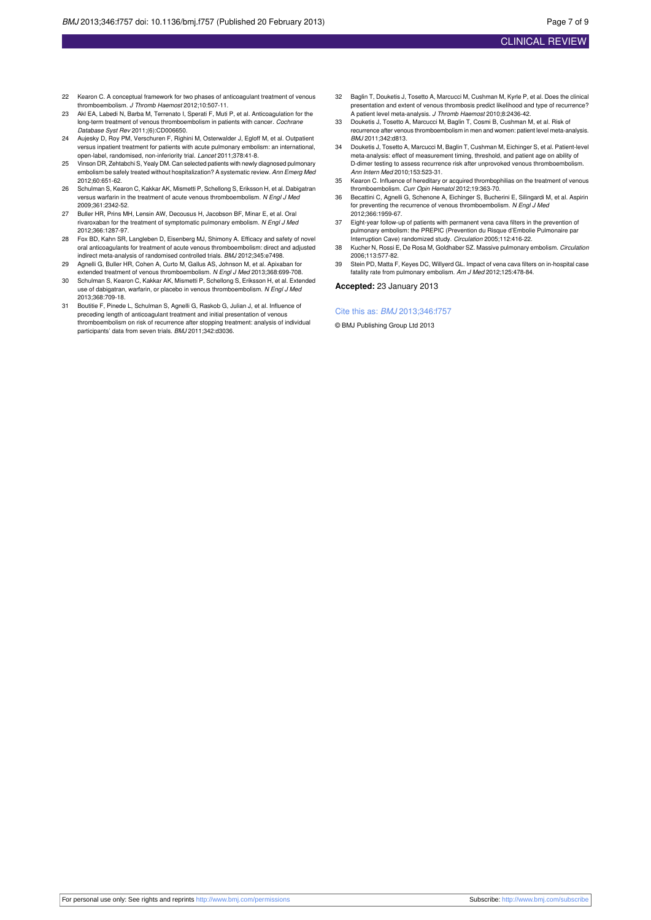- 22 Kearon C. A conceptual framework for two phases of anticoagulant treatment of venous thromboembolism. J Thromb Haemost 2012;10:507-11.
- 23 Akl EA, Labedi N, Barba M, Terrenato I, Sperati F, Muti P, et al. Anticoagulation for the long-term treatment of venous thromboembolism in patients with cancer. Cochrane Database Syst Rev 2011;(6);CD006650.
- 24 Aujesky D, Roy PM, Verschuren F, Righini M, Osterwalder J, Egloff M, et al. Outpatient versus inpatient treatment for patients with acute pulmonary embolism: an international, open-label, randomised, non-inferiority trial. Lancet 2011;378:41-8.
- 25 Vinson DR, Zehtabchi S, Yealy DM. Can selected patients with newly diagnosed pulmonary embolism be safely treated without hospitalization? A systematic review. Ann Emerg Med 2012;60:651-62.
- 26 Schulman S, Kearon C, Kakkar AK, Mismetti P, Schellong S, Eriksson H, et al. Dabigatran versus warfarin in the treatment of acute venous thromboembolism. N Engl J Med 2009;361:2342-52.
- 27 Buller HR, Prins MH, Lensin AW, Decousus H, Jacobson BF, Minar E, et al. Oral rivaroxaban for the treatment of symptomatic pulmonary embolism. N Engl J Med 2012;366:1287-97.
- 28 Fox BD, Kahn SR, Langleben D, Eisenberg MJ, Shimony A. Efficacy and safety of novel oral anticoagulants for treatment of acute venous thromboembolism: direct and adjusted indirect meta-analysis of randomised controlled trials. BMJ 2012;345:e7498.
- 29 Agnelli G, Buller HR, Cohen A, Curto M, Gallus AS, Johnson M, et al. Apixaban for extended treatment of venous thromboembolism. N Engl J Med 2013;368:699-708.
- 30 Schulman S, Kearon C, Kakkar AK, Mismetti P, Schellong S, Eriksson H, et al. Extended use of dabigatran, warfarin, or placebo in venous thromboembolism. N Engl J Med 2013;368:709-18.
- 31 Boutitie F, Pinede L, Schulman S, Agnelli G, Raskob G, Julian J, et al. Influence of preceding length of anticoagulant treatment and initial presentation of venous thromboembolism on risk of recurrence after stopping treatment: analysis of individual participants' data from seven trials. BMJ 2011;342:d3036.
- 32 Baglin T, Douketis J, Tosetto A, Marcucci M, Cushman M, Kyrle P, et al. Does the clinical presentation and extent of venous thrombosis predict likelihood and type of recurrence? A patient level meta-analysis. J Thromb Haemost 2010;8:2436-42.
- 33 Douketis J, Tosetto A, Marcucci M, Baglin T, Cosmi B, Cushman M, et al. Risk of recurrence after venous thromboembolism in men and women: patient level meta-analysis. BMJ 2011;342:d813.
- 34 Douketis J, Tosetto A, Marcucci M, Baglin T, Cushman M, Eichinger S, et al. Patient-level meta-analysis: effect of measurement timing, threshold, and patient age on ability of D-dimer testing to assess recurrence risk after unprovoked venous thromboembolism. Ann Intern Med 2010;153:523-31.
- 35 Kearon C. Influence of hereditary or acquired thrombophilias on the treatment of venous thromboembolism. Curr Opin Hematol 2012;19:363-70.
- 36 Becattini C, Agnelli G, Schenone A, Eichinger S, Bucherini E, Silingardi M, et al. Aspirin for preventing the recurrence of venous thromboembolism. N Engl J Med 2012;366:1959-67.
- 37 Eight-year follow-up of patients with permanent vena cava filters in the prevention of pulmonary embolism: the PREPIC (Prevention du Risque d'Embolie Pulmonaire par Interruption Cave) randomized study. Circulation 2005;112:416-22.
- 38 Kucher N, Rossi E, De Rosa M, Goldhaber SZ. Massive pulmonary embolism. Circulation 2006;113:577-82.
- 39 Stein PD, Matta F, Keyes DC, Willyerd GL. Impact of vena cava filters on in-hospital case fatality rate from pulmonary embolism. Am J Med 2012;125:478-84.

### **Accepted:** 23 January 2013

### Cite this as: BMJ 2013;346:f757

© BMJ Publishing Group Ltd 2013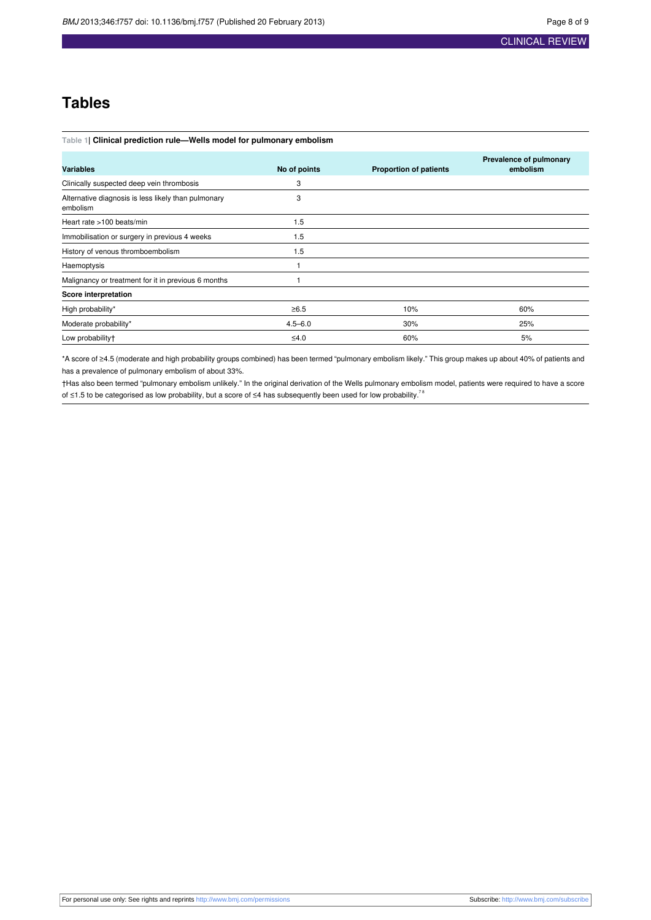# **Tables**

<span id="page-7-0"></span>**Table 1| Clinical prediction rule—Wells model for pulmonary embolism**

| <b>Variables</b>                                                | No of points | <b>Proportion of patients</b> | Prevalence of pulmonary<br>embolism |
|-----------------------------------------------------------------|--------------|-------------------------------|-------------------------------------|
| Clinically suspected deep vein thrombosis                       | 3            |                               |                                     |
| Alternative diagnosis is less likely than pulmonary<br>embolism | 3            |                               |                                     |
| Heart rate >100 beats/min                                       | 1.5          |                               |                                     |
| Immobilisation or surgery in previous 4 weeks                   | 1.5          |                               |                                     |
| History of venous thromboembolism                               | 1.5          |                               |                                     |
| Haemoptysis                                                     |              |                               |                                     |
| Malignancy or treatment for it in previous 6 months             |              |                               |                                     |
| Score interpretation                                            |              |                               |                                     |
| High probability*                                               | $\geq 6.5$   | 10%                           | 60%                                 |
| Moderate probability*                                           | $4.5 - 6.0$  | 30%                           | 25%                                 |
| Low probability+                                                | $\leq 4.0$   | 60%                           | 5%                                  |

\*A score of ≥4.5 (moderate and high probability groups combined) has been termed "pulmonary embolism likely." This group makes up about 40% of patients and has a prevalence of pulmonary embolism of about 33%.

†Has also been termed "pulmonary embolism unlikely." In the original derivation of the Wells pulmonary embolism model, patients were required to have a score of ≤1.5 to be categorised as low probability, but a score of ≤4 has subsequently been used for low probability.<sup>78</sup>